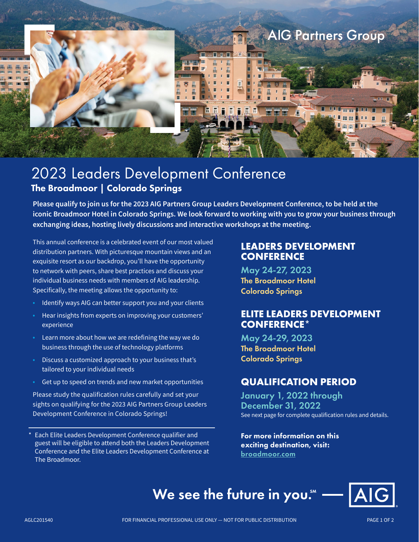

# 2023 Leaders Development Conference The Broadmoor | Colorado Springs

**Please qualify to join us for the 2023 AIG Partners Group Leaders Development Conference, to be held at the iconic Broadmoor Hotel in Colorado Springs. We look forward to working with you to grow your business through exchanging ideas, hosting lively discussions and interactive workshops at the meeting.**

This annual conference is a celebrated event of our most valued distribution partners. With picturesque mountain views and an exquisite resort as our backdrop, you'll have the opportunity to network with peers, share best practices and discuss your individual business needs with members of AIG leadership. Specifically, the meeting allows the opportunity to:

- Identify ways AIG can better support you and your clients
- Hear insights from experts on improving your customers' experience
- Learn more about how we are redefining the way we do business through the use of technology platforms
- Discuss a customized approach to your business that's tailored to your individual needs
- Get up to speed on trends and new market opportunities

Please study the qualification rules carefully and set your sights on qualifying for the 2023 AIG Partners Group Leaders Development Conference in Colorado Springs!

Each Elite Leaders Development Conference qualifier and guest will be eligible to attend both the Leaders Development Conference and the Elite Leaders Development Conference at The Broadmoor.

## **LEADERS DEVELOPMENT CONFERENCE**

May 24-27, 2023 The Broadmoor Hotel Colorado Springs

# **ELITE LEADERS DEVELOPMENT CONFERENCE**\*

May 24-29, 2023 The Broadmoor Hotel Colorado Springs

# **QUALIFICATION PERIOD**

January 1, 2022 through December 31, 2022 See next page for complete qualification rules and details.

For more information on this exciting destination, visit: [broadmoor.com](https://www.broadmoor.com/)